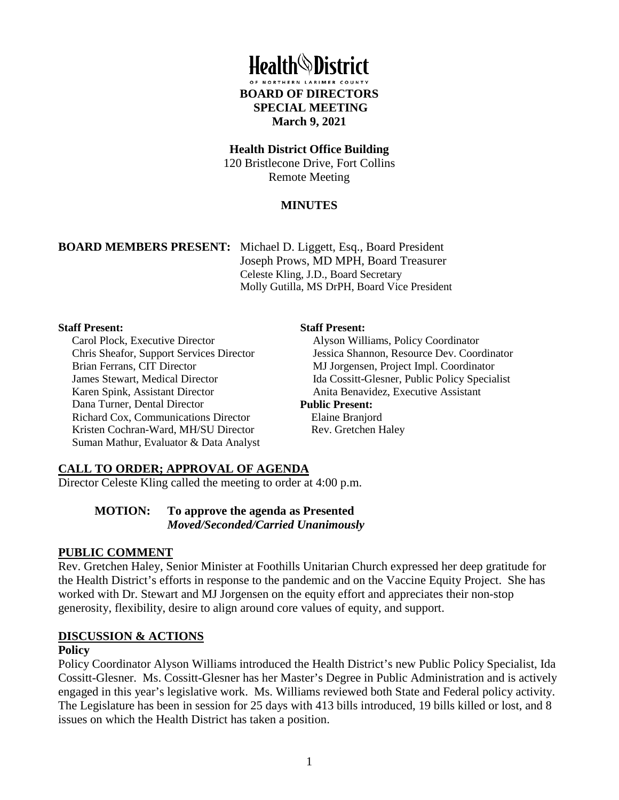

#### **Health District Office Building**

120 Bristlecone Drive, Fort Collins Remote Meeting

## **MINUTES**

**BOARD MEMBERS PRESENT:** Michael D. Liggett, Esq., Board President Joseph Prows, MD MPH, Board Treasurer Celeste Kling, J.D., Board Secretary Molly Gutilla, MS DrPH, Board Vice President

#### **Staff Present:**

Carol Plock, Executive Director Chris Sheafor, Support Services Director Brian Ferrans, CIT Director James Stewart, Medical Director Karen Spink, Assistant Director Dana Turner, Dental Director Richard Cox, Communications Director Kristen Cochran-Ward, MH/SU Director Suman Mathur, Evaluator & Data Analyst

#### **Staff Present:**

Alyson Williams, Policy Coordinator Jessica Shannon, Resource Dev. Coordinator MJ Jorgensen, Project Impl. Coordinator Ida Cossitt-Glesner, Public Policy Specialist Anita Benavidez, Executive Assistant **Public Present:**

# Elaine Branjord

Rev. Gretchen Haley

## **CALL TO ORDER; APPROVAL OF AGENDA**

Director Celeste Kling called the meeting to order at 4:00 p.m.

#### **MOTION: To approve the agenda as Presented**  *Moved/Seconded/Carried Unanimously*

#### **PUBLIC COMMENT**

Rev. Gretchen Haley, Senior Minister at Foothills Unitarian Church expressed her deep gratitude for the Health District's efforts in response to the pandemic and on the Vaccine Equity Project. She has worked with Dr. Stewart and MJ Jorgensen on the equity effort and appreciates their non-stop generosity, flexibility, desire to align around core values of equity, and support.

#### **DISCUSSION & ACTIONS**

#### **Policy**

Policy Coordinator Alyson Williams introduced the Health District's new Public Policy Specialist, Ida Cossitt-Glesner. Ms. Cossitt-Glesner has her Master's Degree in Public Administration and is actively engaged in this year's legislative work. Ms. Williams reviewed both State and Federal policy activity. The Legislature has been in session for 25 days with 413 bills introduced, 19 bills killed or lost, and 8 issues on which the Health District has taken a position.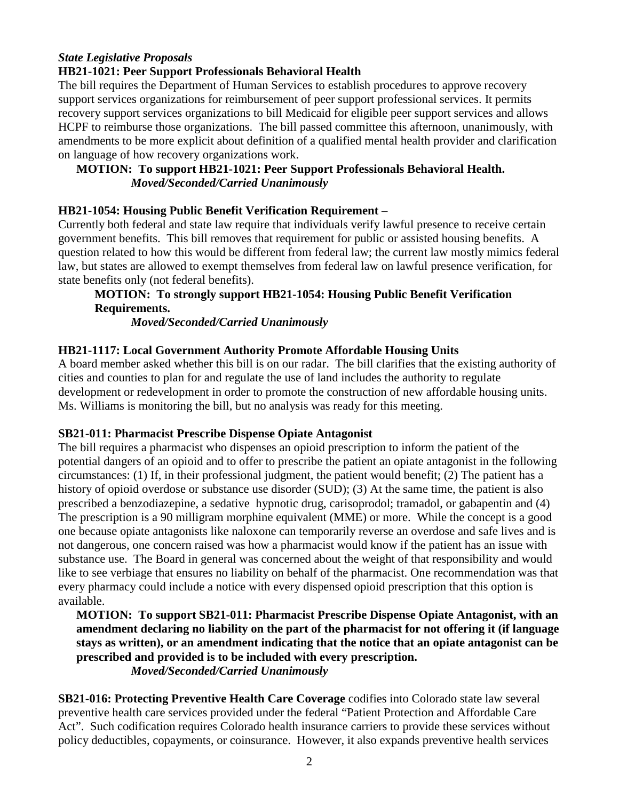# *State Legislative Proposals*

## **HB21-1021: Peer Support Professionals Behavioral Health**

The bill requires the Department of Human Services to establish procedures to approve recovery support services organizations for reimbursement of peer support professional services. It permits recovery support services organizations to bill Medicaid for eligible peer support services and allows HCPF to reimburse those organizations. The bill passed committee this afternoon, unanimously, with amendments to be more explicit about definition of a qualified mental health provider and clarification on language of how recovery organizations work.

## **MOTION: To support HB21-1021: Peer Support Professionals Behavioral Health.**   *Moved/Seconded/Carried Unanimously*

#### **HB21-1054: Housing Public Benefit Verification Requirement** –

Currently both federal and state law require that individuals verify lawful presence to receive certain government benefits. This bill removes that requirement for public or assisted housing benefits. A question related to how this would be different from federal law; the current law mostly mimics federal law, but states are allowed to exempt themselves from federal law on lawful presence verification, for state benefits only (not federal benefits).

## **MOTION: To strongly support HB21-1054: Housing Public Benefit Verification Requirements.**

 *Moved/Seconded/Carried Unanimously* 

#### **HB21-1117: Local Government Authority Promote Affordable Housing Units**

A board member asked whether this bill is on our radar. The bill clarifies that the existing authority of cities and counties to plan for and regulate the use of land includes the authority to regulate development or redevelopment in order to promote the construction of new affordable housing units. Ms. Williams is monitoring the bill, but no analysis was ready for this meeting.

## **SB21-011: Pharmacist Prescribe Dispense Opiate Antagonist**

The bill requires a pharmacist who dispenses an opioid prescription to inform the patient of the potential dangers of an opioid and to offer to prescribe the patient an opiate antagonist in the following circumstances: (1) If, in their professional judgment, the patient would benefit; (2) The patient has a history of opioid overdose or substance use disorder (SUD); (3) At the same time, the patient is also prescribed a benzodiazepine, a sedative hypnotic drug, carisoprodol; tramadol, or gabapentin and (4) The prescription is a 90 milligram morphine equivalent (MME) or more. While the concept is a good one because opiate antagonists like naloxone can temporarily reverse an overdose and safe lives and is not dangerous, one concern raised was how a pharmacist would know if the patient has an issue with substance use. The Board in general was concerned about the weight of that responsibility and would like to see verbiage that ensures no liability on behalf of the pharmacist. One recommendation was that every pharmacy could include a notice with every dispensed opioid prescription that this option is available.

**MOTION: To support SB21-011: Pharmacist Prescribe Dispense Opiate Antagonist, with an amendment declaring no liability on the part of the pharmacist for not offering it (if language stays as written), or an amendment indicating that the notice that an opiate antagonist can be prescribed and provided is to be included with every prescription.** 

 *Moved/Seconded/Carried Unanimously* 

**SB21-016: Protecting Preventive Health Care Coverage** codifies into Colorado state law several preventive health care services provided under the federal "Patient Protection and Affordable Care Act". Such codification requires Colorado health insurance carriers to provide these services without policy deductibles, copayments, or coinsurance. However, it also expands preventive health services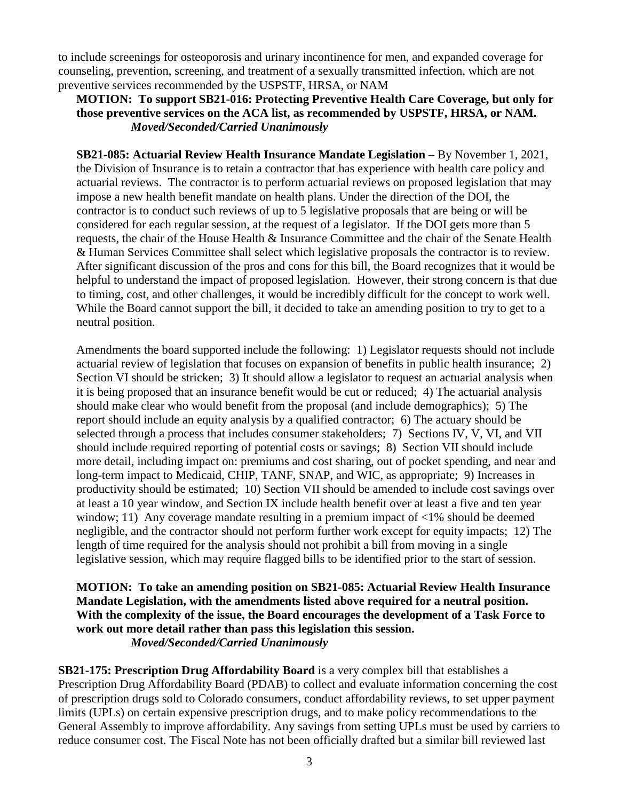to include screenings for osteoporosis and urinary incontinence for men, and expanded coverage for counseling, prevention, screening, and treatment of a sexually transmitted infection, which are not preventive services recommended by the USPSTF, HRSA, or NAM

## **MOTION: To support SB21-016: Protecting Preventive Health Care Coverage, but only for those preventive services on the ACA list, as recommended by USPSTF, HRSA, or NAM.**  *Moved/Seconded/Carried Unanimously*

**SB21-085: Actuarial Review Health Insurance Mandate Legislation** – By November 1, 2021, the Division of Insurance is to retain a contractor that has experience with health care policy and actuarial reviews. The contractor is to perform actuarial reviews on proposed legislation that may impose a new health benefit mandate on health plans. Under the direction of the DOI, the contractor is to conduct such reviews of up to 5 legislative proposals that are being or will be considered for each regular session, at the request of a legislator. If the DOI gets more than 5 requests, the chair of the House Health & Insurance Committee and the chair of the Senate Health & Human Services Committee shall select which legislative proposals the contractor is to review. After significant discussion of the pros and cons for this bill, the Board recognizes that it would be helpful to understand the impact of proposed legislation. However, their strong concern is that due to timing, cost, and other challenges, it would be incredibly difficult for the concept to work well. While the Board cannot support the bill, it decided to take an amending position to try to get to a neutral position.

Amendments the board supported include the following: 1) Legislator requests should not include actuarial review of legislation that focuses on expansion of benefits in public health insurance; 2) Section VI should be stricken; 3) It should allow a legislator to request an actuarial analysis when it is being proposed that an insurance benefit would be cut or reduced; 4) The actuarial analysis should make clear who would benefit from the proposal (and include demographics); 5) The report should include an equity analysis by a qualified contractor; 6) The actuary should be selected through a process that includes consumer stakeholders; 7) Sections IV, V, VI, and VII should include required reporting of potential costs or savings; 8) Section VII should include more detail, including impact on: premiums and cost sharing, out of pocket spending, and near and long-term impact to Medicaid, CHIP, TANF, SNAP, and WIC, as appropriate; 9) Increases in productivity should be estimated; 10) Section VII should be amended to include cost savings over at least a 10 year window, and Section IX include health benefit over at least a five and ten year window; 11) Any coverage mandate resulting in a premium impact of  $\langle 1\%$  should be deemed negligible, and the contractor should not perform further work except for equity impacts; 12) The length of time required for the analysis should not prohibit a bill from moving in a single legislative session, which may require flagged bills to be identified prior to the start of session.

#### **MOTION: To take an amending position on SB21-085: Actuarial Review Health Insurance Mandate Legislation, with the amendments listed above required for a neutral position. With the complexity of the issue, the Board encourages the development of a Task Force to work out more detail rather than pass this legislation this session.**  *Moved/Seconded/Carried Unanimously*

**SB21-175: Prescription Drug Affordability Board** is a very complex bill that establishes a Prescription Drug Affordability Board (PDAB) to collect and evaluate information concerning the cost of prescription drugs sold to Colorado consumers, conduct affordability reviews, to set upper payment limits (UPLs) on certain expensive prescription drugs, and to make policy recommendations to the General Assembly to improve affordability. Any savings from setting UPLs must be used by carriers to reduce consumer cost. The Fiscal Note has not been officially drafted but a similar bill reviewed last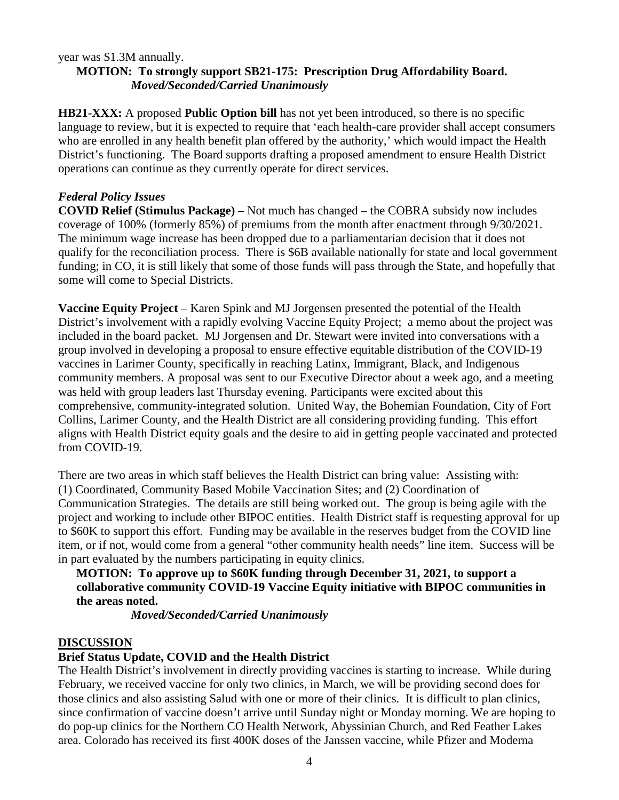#### year was \$1.3M annually.

#### **MOTION: To strongly support SB21-175: Prescription Drug Affordability Board.**  *Moved/Seconded/Carried Unanimously*

**HB21-XXX:** A proposed **Public Option bill** has not yet been introduced, so there is no specific language to review, but it is expected to require that 'each health-care provider shall accept consumers who are enrolled in any health benefit plan offered by the authority,' which would impact the Health District's functioning. The Board supports drafting a proposed amendment to ensure Health District operations can continue as they currently operate for direct services.

## *Federal Policy Issues*

**COVID Relief (Stimulus Package) –** Not much has changed – the COBRA subsidy now includes coverage of 100% (formerly 85%) of premiums from the month after enactment through 9/30/2021. The minimum wage increase has been dropped due to a parliamentarian decision that it does not qualify for the reconciliation process. There is \$6B available nationally for state and local government funding; in CO, it is still likely that some of those funds will pass through the State, and hopefully that some will come to Special Districts.

**Vaccine Equity Project** – Karen Spink and MJ Jorgensen presented the potential of the Health District's involvement with a rapidly evolving Vaccine Equity Project; a memo about the project was included in the board packet. MJ Jorgensen and Dr. Stewart were invited into conversations with a group involved in developing a proposal to ensure effective equitable distribution of the COVID-19 vaccines in Larimer County, specifically in reaching Latinx, Immigrant, Black, and Indigenous community members. A proposal was sent to our Executive Director about a week ago, and a meeting was held with group leaders last Thursday evening. Participants were excited about this comprehensive, community-integrated solution. United Way, the Bohemian Foundation, City of Fort Collins, Larimer County, and the Health District are all considering providing funding. This effort aligns with Health District equity goals and the desire to aid in getting people vaccinated and protected from COVID-19.

There are two areas in which staff believes the Health District can bring value: Assisting with: (1) Coordinated, Community Based Mobile Vaccination Sites; and (2) Coordination of Communication Strategies. The details are still being worked out. The group is being agile with the project and working to include other BIPOC entities. Health District staff is requesting approval for up to \$60K to support this effort. Funding may be available in the reserves budget from the COVID line item, or if not, would come from a general "other community health needs" line item. Success will be in part evaluated by the numbers participating in equity clinics.

## **MOTION: To approve up to \$60K funding through December 31, 2021, to support a collaborative community COVID-19 Vaccine Equity initiative with BIPOC communities in the areas noted.**

 *Moved/Seconded/Carried Unanimously* 

#### **DISCUSSION**

## **Brief Status Update, COVID and the Health District**

The Health District's involvement in directly providing vaccines is starting to increase. While during February, we received vaccine for only two clinics, in March, we will be providing second does for those clinics and also assisting Salud with one or more of their clinics. It is difficult to plan clinics, since confirmation of vaccine doesn't arrive until Sunday night or Monday morning. We are hoping to do pop-up clinics for the Northern CO Health Network, Abyssinian Church, and Red Feather Lakes area. Colorado has received its first 400K doses of the Janssen vaccine, while Pfizer and Moderna